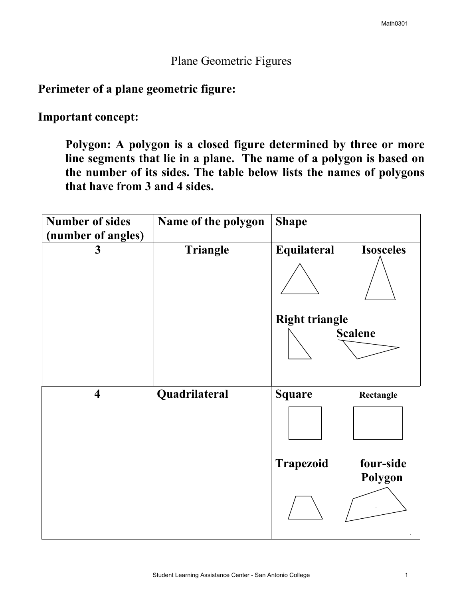## Plane Geometric Figures

## **Perimeter of a plane geometric figure:**

**Important concept:** 

**Polygon: A polygon is a closed figure determined by three or more line segments that lie in a plane. The name of a polygon is based on the number of its sides. The table below lists the names of polygons that have from 3 and 4 sides.** 

| <b>Number of sides</b><br>(number of angles) | Name of the polygon | <b>Shape</b>                             |
|----------------------------------------------|---------------------|------------------------------------------|
| 3                                            | Triangle            | Equilateral<br><b>Isosceles</b>          |
|                                              |                     |                                          |
|                                              |                     | <b>Right triangle</b>                    |
|                                              |                     | <b>Scalene</b>                           |
|                                              |                     |                                          |
| $\overline{\mathbf{4}}$                      | Quadrilateral       | <b>Square</b><br>Rectangle               |
|                                              |                     |                                          |
|                                              |                     | four-side<br><b>Trapezoid</b><br>Polygon |
|                                              |                     |                                          |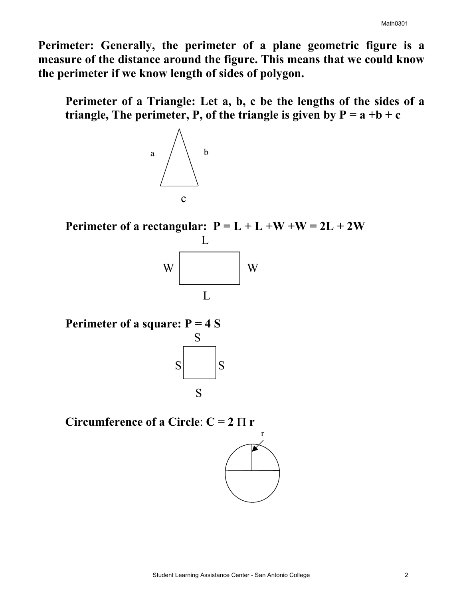**Perimeter: Generally, the perimeter of a plane geometric figure is a measure of the distance around the figure. This means that we could know the perimeter if we know length of sides of polygon.** 

**Perimeter of a Triangle: Let a, b, c be the lengths of the sides of a triangle, The perimeter, P, of the triangle is given by**  $P = a + b + c$ 



**Perimeter of a rectangular:**  $P = L + L + W + W = 2L + 2W$ 



**Perimeter of a square:**  $P = 4 S$ 



**Circumference of a Circle:**  $C = 2 \Pi r$ 

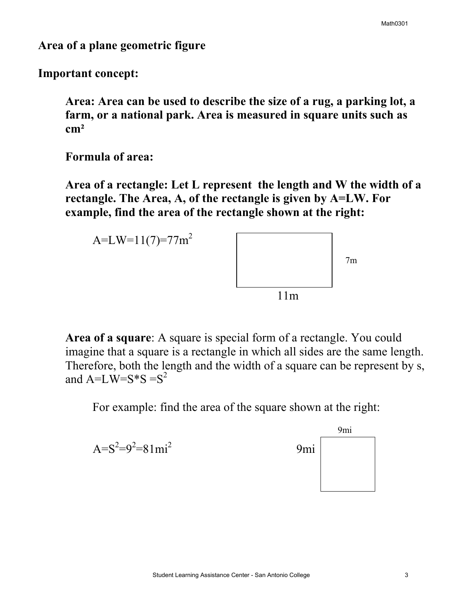**Area of a plane geometric figure** 

**Important concept:** 

**Area: Area can be used to describe the size of a rug, a parking lot, a farm, or a national park. Area is measured in square units such as**   $cm<sup>2</sup>$ 

**Formula of area:** 

**Area of a rectangle: Let L represent the length and W the width of a rectangle. The Area, A, of the rectangle is given by A=LW. For example, find the area of the rectangle shown at the right:** 



**Area of a square**: A square is special form of a rectangle. You could imagine that a square is a rectangle in which all sides are the same length. Therefore, both the length and the width of a square can be represent by s, and  $A=LW=S*S = S^2$ 

For example: find the area of the square shown at the right: